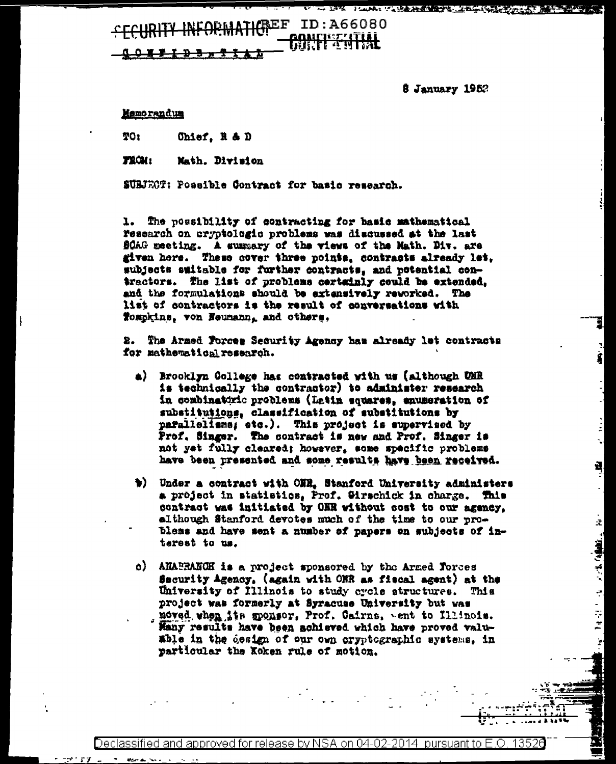# FORMATICREF ID:A66080 **ogairiszsztjál**

 $3$  January 1952

**中国 "人民主义主义" 人名英格兰人姓氏克莱尔的变体 医中央不同性质** 

Đ,

ż,

医长叶

÷,

Ŧ

 $\overline{z}$ 

#### Memorandum

TO1 Ohief, R & D

TROM: Math. Division

SUBJECT: Possible Contract for basic research.

1. The possibility of contracting for basic mathematical research on cryptologic problems was discussed at the last SCAG meeting. A summary of the views of the Math. Div. are given here. These cover three points, contracts already let, subjects switable for further contracts, and potential contractors. The list of problems certainly could be extended, and the formulations should be extensively reworked. The list of contractors is the result of conversations with Tompkins, von Heumann, and others,

2. The Armed Forces Security Agency has already let contracts for mathematical research.

- a) Brooklyn College has contracted with us (although UNR is technically the contractor) to administer research in combinaturic problems (Latin squares, enumeration of substitutions, classification of substitutions by parallelisms, etc.). This project is supervised by Prof. Singer. The contract is new and Prof. Singer is not yet fully cleared; however, some specific problems have been presented and some results have been received.
- w) Under a contract with ONR. Stanford University administers a project in statistics, Prof. Girschick in charge. This contract was initiated by ONR without cost to our agency, although Stanford devotes much of the time to our problems and have sent a number of papers on subjects of interest to us.
- c) AHAPRANCH is a project sponsored by the Armed Torces Security Agency, (again with ONR as fiscal agent) at the University of Illinois to study cycle structures. This project was formerly at Syracuse University but was moved when its monsor, Prof. Cairns, went to Illinois.
	- Many results have been achieved which have proved valuable in the design of our own cryptographic systems, in particular the Koken rule of motion.

)eclassified and approved for release by NSA on 04-02-2014 pursuant to E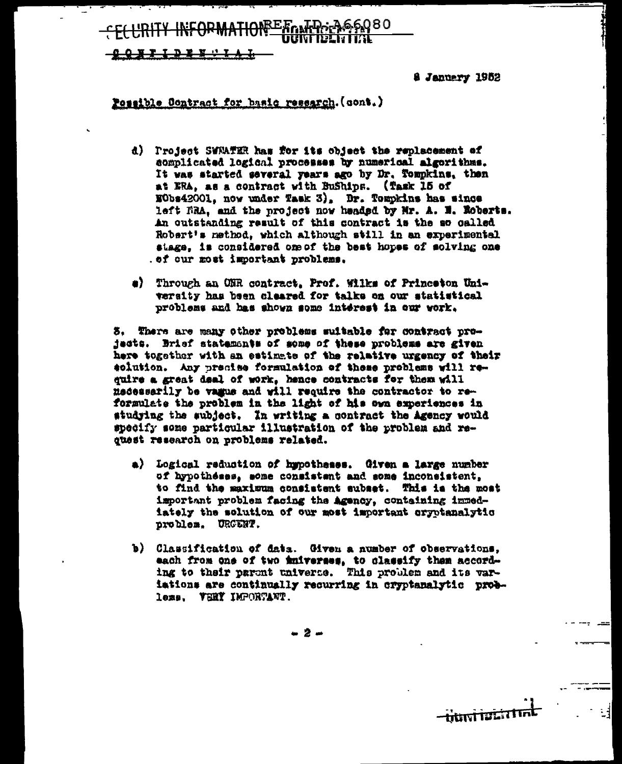SEA ALD AGO

8 January 1952

<del>-hkai is</del>

#### Possible Contract for basic research. (cont.)

- d) Project SWAATER has for its object the replacement of complicated logical processes by numerical algorithms. It was started several years ago by Dr. Tompkins, then at ERA, as a contract with BuShips. (Task 15 of NObs42001, now under Task 3), Dr. Tompkins has since left FRA, and the project now headed by Mr. A. N. Roberts. An outstanding result of this contract is the so called Robert's nethod, which although still in an experimental stage, is considered one of the best hopes of solving one . of our most important problems.
- #) Through an ONR contract, Prof. Wilks of Princeton University has been cleared for talks on our statistical problems and has shown some interest in our work.

3. There are many other problems suitable for contract projacts. Brief statemants of some of these problems are given here together with an estimate of the relative urgency of their eclution. Any precise formulation of these problems will require a great deal of work, hence contracts for them will medessarily be vague and will require the contractor to reformulate the problem in the light of his own experiences in studying the subject. In writing a contract the Agency would specify some particular illustration of the problem and request research on problems related.

- a) Logical reduction of hypotheses. Given a large number of hypotheses, some consistent and some inconsistent. to find the maximum consistent subset. This is the most important problem facing the agency, containing immediately the solution of our most important oryptanalytic problem. URGENT.
- b) Classification of data. Given a number of observations, each from one of two iniverses, to classify them according to their parent universe. This problem and its variations are continually recurring in cryptanalytic problems. VHRY IMPORTANT.

- 2 -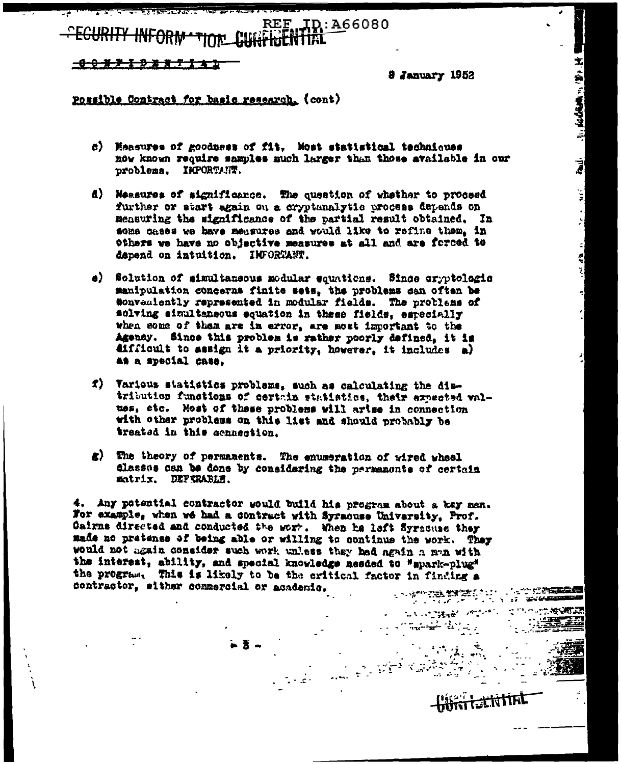REF. ID: A66080

<u> 898719887141</u>

8 January 1952

主: (海): ( 高) ( 高) 等等等等

Ź

 $\begin{bmatrix} 1 \\ 2 \end{bmatrix}$ 

ł,

ŀ,

 $\boldsymbol{z}$ 

■ はんしょう

 $\sim 100$ 

网络白色素 化分析

**Contractor** 

الله شهر شهر آن من المراكزية المركزية المركزية المركزية المركزية المركزية المركزية المركزية المركزية<br>مركزية المركزية المركزية المركزية المركزية المركزية المركزية المركزية المركزية المركزية المركزية المركزية المر<br>المركزية

Possible Contract for basic research. (cont)

- c) Measures of goodness of fit. Most statistical techniques now known require samples much larger than those available in our problems. IMPORTANT.
- d) Measures of significance. The question of whsther to proceed further or start again on a cryptanalytic process depends on measuring the significance of the partial result obtained. In some cases we have measures and would like to refine them, in others we have no objective measures at all and are forced to depend on intuition. IMFORTANT.
- e) Solution of simultaneous modular equations. Since cryptologic manipulation concerns finite sets, the problems can often be sonveniently represented in modular fields. The problems of solving simultaneous equation in these fields, especially when some of them are in error, are most important to the Agency. Since this problem is rather poorly defined, it is difficult to assign it a priority, however, it includes a) as a special case.
- f) Various statistics problems, such as calculating the distribution functions of certain statistics, their expected values, etc. Most of these problems will arise in connection with other problems on this list and should probably be treated in this connection.
- g) The theory of permanents. The enumeration of wired wheel classes can be done by considering the permanents of certain matrix. DEFERABLE.

4. Any potential contractor would build his program about a key man. For example, when we had a contract with Syracuse University, Prof. Cairns directed and conducted the work. When he loft Syracuse they made no pretense of being able or willing to continue the work. They would not again consider such work unless they had again a man with the interest, ability, and special knowledge needed to "spark-plug" the program. This is likely to be the critical factor in finding a contractor, either commercial or academic.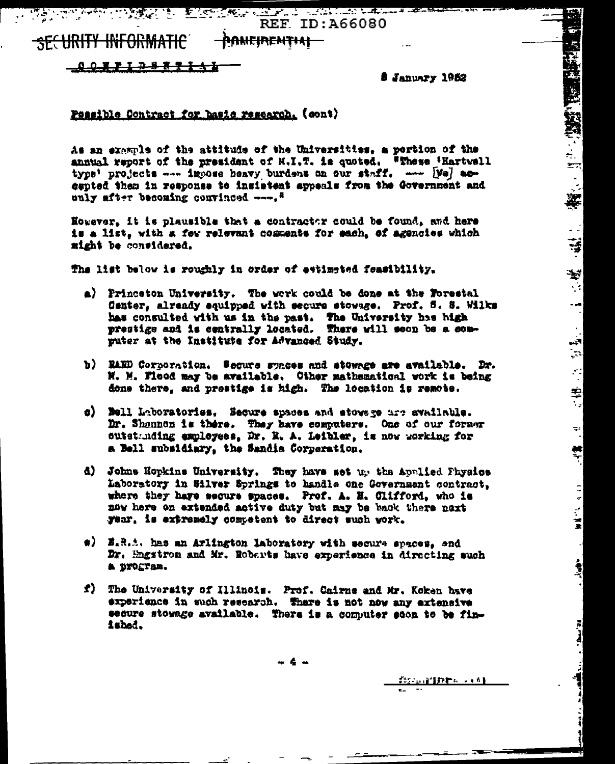<u>a tanggunaan ing kabupatèn Kabupatèn Kabupatèn Bagayan Bagayan Bagayan Bagayan Bagayan Bagayan Bagayan Bagayan Bagayan Bagayan Bagayan Bagayan Bagayan Bagayan Bagayan Bagayan Bagayan Bagayan Bagayan Bagayan Bagayan Bagaya</u> **REF ID: A66080** 

**SECURITY INFORMATIC** ha<del>mpirentiai –</del>

<u> 008710883143</u>

S January 1952

stopping 経済的 動画 (1998年)

 $\ddot{\bullet}$ 

 $\mathbb{F}_q$ 

"我们的。"

.<br>कर्

¥.

 $\sim$   $\frac{1}{2}$ 

¥

 $\blacktriangleright$  $\mathbb{R}^2$ 

 $\left| \cdot \right|$ 

 $\frac{1}{2}$ 

 $\mathbb{R}^2$ 

 $\frac{1}{\sqrt{2}}$ 

 $\ddot{=}$ 

 $\equiv$ 

 $\frac{1}{2}$ 

 $\begin{array}{c} 1 \\ 1 \end{array}$ 

 $\frac{1}{2}$ 

 $\frac{1}{2}$ 

 $\mathbf{r}$  and  $\mathbf{r}$ 

#### Passible Contract for hasis research. (cont)

As an example of the attitude of the Universities, a portion of the annual report of the president of N.I.T. is quoted. "These 'Hartvell type' projects --- impose heavy burdens on our staff. --- [Wa] accepted than in response to insistent appeals from the Government and only after becoming convinced ---. "

However, it is plausible that a contractor could be found, and here is a list, with a few relevant comments for each, of agencies which might be considered.

The list below is roughly in order of estimated feasibility.

- a) Princeton University. The work could be done at the Forestal Center, already equipped with secure stowage. Prof. 5. S. Wilks has consulted with us in the past. The University has high prestige and is centrally located. There will seen be a sonputer at the Institute for Advanced Study.
- b) BAED Corporation. Secure synces and stowage are available. Dr. N. M. Flood may be available. Other mathematical work is being done there, and prestige is high. The location is remote.
- c) Bell Laboratoriss. Secure spaces and stowsge are available. Dr. Shannon is there. They have computers. One of our former outstanding employees, Dr. R. A. Leibler, is now working for a Bell subsidiary, the Sandia Corporation.
- d) Johns Hopkins University. They have set up the Applied Physics Laboratory in Silver Springs to handle one Government contract. where they have secure spaces. Prof. A. H. Clifford, who is now here on extended active duty but may be back there next year, is extremely competent to direct such work.
- #) E.R.A. has an Arlington laboratory with secure spaces, and Dr. Engstron and Mr. Roberts have experience in directing auch a program.
- f) The University of Illinois. Prof. Cairns and Mr. Koken have experience in such research. There is not now any extensive secure stowage available. There is a computer scon to be finished.

- 4 -